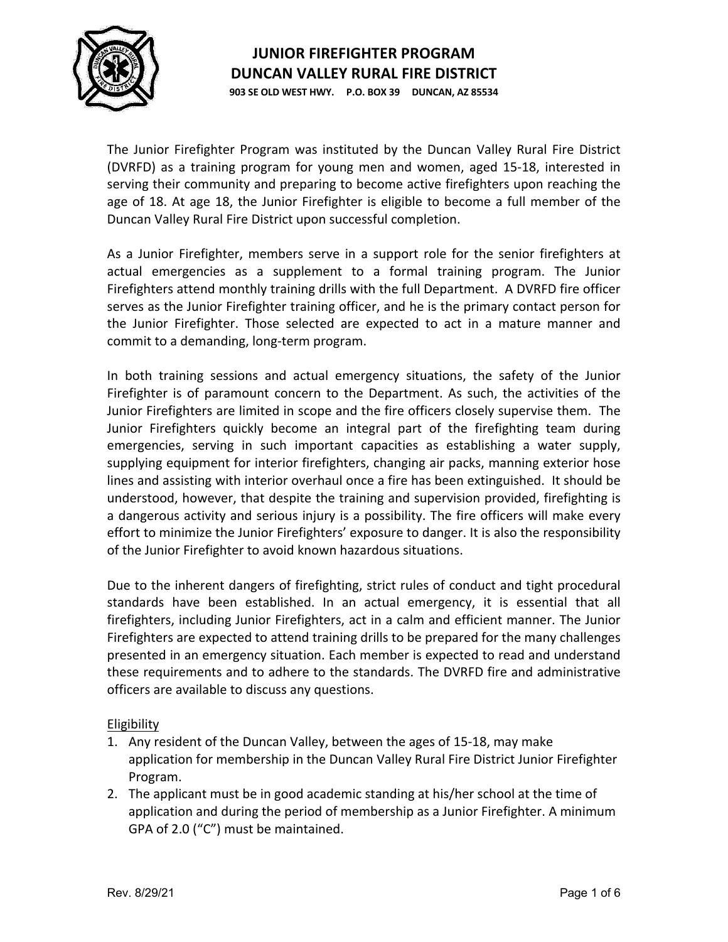

**903 SE OLD WEST HWY. P.O. BOX 39 DUNCAN, AZ 85534**

The Junior Firefighter Program was instituted by the Duncan Valley Rural Fire District (DVRFD) as a training program for young men and women, aged 15-18, interested in serving their community and preparing to become active firefighters upon reaching the age of 18. At age 18, the Junior Firefighter is eligible to become a full member of the Duncan Valley Rural Fire District upon successful completion.

As a Junior Firefighter, members serve in a support role for the senior firefighters at actual emergencies as a supplement to a formal training program. The Junior Firefighters attend monthly training drills with the full Department. A DVRFD fire officer serves as the Junior Firefighter training officer, and he is the primary contact person for the Junior Firefighter. Those selected are expected to act in a mature manner and commit to a demanding, long-term program.

In both training sessions and actual emergency situations, the safety of the Junior Firefighter is of paramount concern to the Department. As such, the activities of the Junior Firefighters are limited in scope and the fire officers closely supervise them. The Junior Firefighters quickly become an integral part of the firefighting team during emergencies, serving in such important capacities as establishing a water supply, supplying equipment for interior firefighters, changing air packs, manning exterior hose lines and assisting with interior overhaul once a fire has been extinguished. It should be understood, however, that despite the training and supervision provided, firefighting is a dangerous activity and serious injury is a possibility. The fire officers will make every effort to minimize the Junior Firefighters' exposure to danger. It is also the responsibility of the Junior Firefighter to avoid known hazardous situations.

Due to the inherent dangers of firefighting, strict rules of conduct and tight procedural standards have been established. In an actual emergency, it is essential that all firefighters, including Junior Firefighters, act in a calm and efficient manner. The Junior Firefighters are expected to attend training drills to be prepared for the many challenges presented in an emergency situation. Each member is expected to read and understand these requirements and to adhere to the standards. The DVRFD fire and administrative officers are available to discuss any questions.

Eligibility

- 1. Any resident of the Duncan Valley, between the ages of 15-18, may make application for membership in the Duncan Valley Rural Fire District Junior Firefighter Program.
- 2. The applicant must be in good academic standing at his/her school at the time of application and during the period of membership as a Junior Firefighter. A minimum GPA of 2.0 ("C") must be maintained.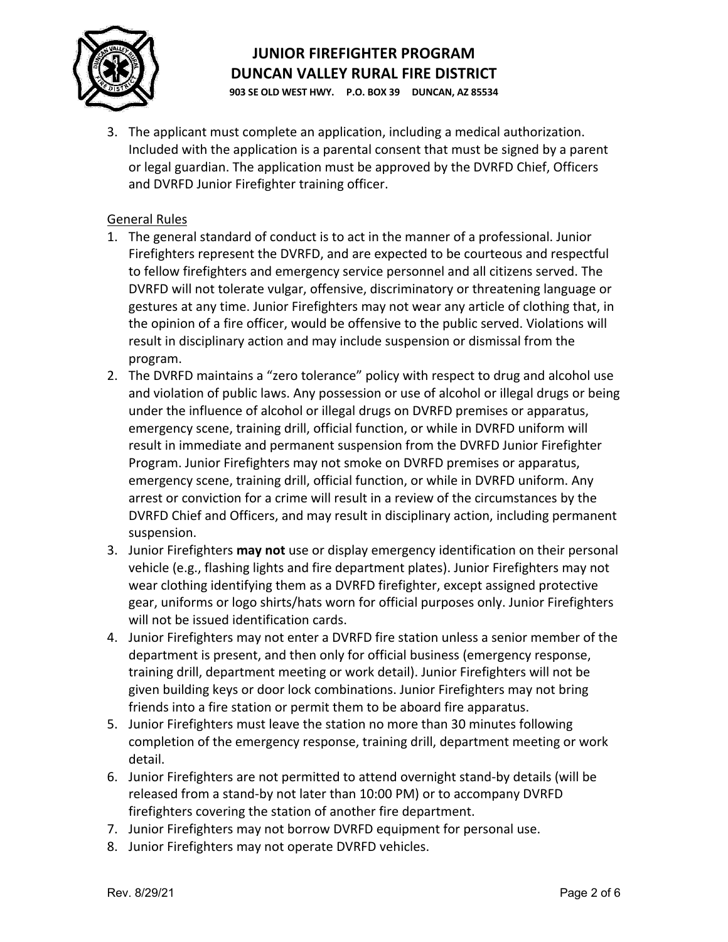

**903 SE OLD WEST HWY. P.O. BOX 39 DUNCAN, AZ 85534**

3. The applicant must complete an application, including a medical authorization. Included with the application is a parental consent that must be signed by a parent or legal guardian. The application must be approved by the DVRFD Chief, Officers and DVRFD Junior Firefighter training officer.

#### General Rules

- 1. The general standard of conduct is to act in the manner of a professional. Junior Firefighters represent the DVRFD, and are expected to be courteous and respectful to fellow firefighters and emergency service personnel and all citizens served. The DVRFD will not tolerate vulgar, offensive, discriminatory or threatening language or gestures at any time. Junior Firefighters may not wear any article of clothing that, in the opinion of a fire officer, would be offensive to the public served. Violations will result in disciplinary action and may include suspension or dismissal from the program.
- 2. The DVRFD maintains a "zero tolerance" policy with respect to drug and alcohol use and violation of public laws. Any possession or use of alcohol or illegal drugs or being under the influence of alcohol or illegal drugs on DVRFD premises or apparatus, emergency scene, training drill, official function, or while in DVRFD uniform will result in immediate and permanent suspension from the DVRFD Junior Firefighter Program. Junior Firefighters may not smoke on DVRFD premises or apparatus, emergency scene, training drill, official function, or while in DVRFD uniform. Any arrest or conviction for a crime will result in a review of the circumstances by the DVRFD Chief and Officers, and may result in disciplinary action, including permanent suspension.
- 3. Junior Firefighters **may not** use or display emergency identification on their personal vehicle (e.g., flashing lights and fire department plates). Junior Firefighters may not wear clothing identifying them as a DVRFD firefighter, except assigned protective gear, uniforms or logo shirts/hats worn for official purposes only. Junior Firefighters will not be issued identification cards.
- 4. Junior Firefighters may not enter a DVRFD fire station unless a senior member of the department is present, and then only for official business (emergency response, training drill, department meeting or work detail). Junior Firefighters will not be given building keys or door lock combinations. Junior Firefighters may not bring friends into a fire station or permit them to be aboard fire apparatus.
- 5. Junior Firefighters must leave the station no more than 30 minutes following completion of the emergency response, training drill, department meeting or work detail.
- 6. Junior Firefighters are not permitted to attend overnight stand-by details (will be released from a stand-by not later than 10:00 PM) or to accompany DVRFD firefighters covering the station of another fire department.
- 7. Junior Firefighters may not borrow DVRFD equipment for personal use.
- 8. Junior Firefighters may not operate DVRFD vehicles.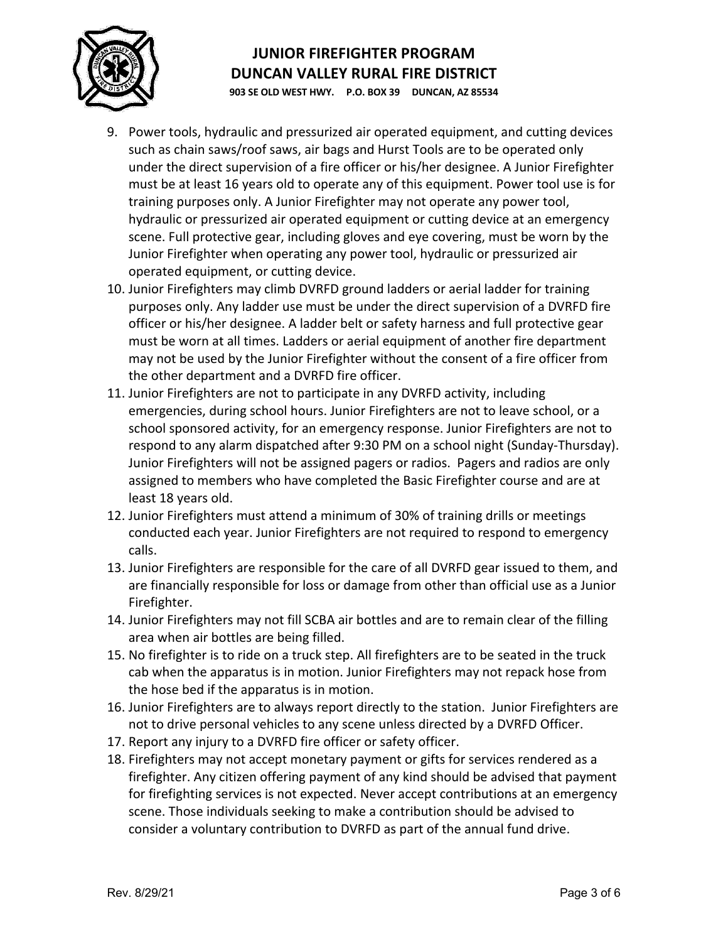

**903 SE OLD WEST HWY. P.O. BOX 39 DUNCAN, AZ 85534**

- 9. Power tools, hydraulic and pressurized air operated equipment, and cutting devices such as chain saws/roof saws, air bags and Hurst Tools are to be operated only under the direct supervision of a fire officer or his/her designee. A Junior Firefighter must be at least 16 years old to operate any of this equipment. Power tool use is for training purposes only. A Junior Firefighter may not operate any power tool, hydraulic or pressurized air operated equipment or cutting device at an emergency scene. Full protective gear, including gloves and eye covering, must be worn by the Junior Firefighter when operating any power tool, hydraulic or pressurized air operated equipment, or cutting device.
- 10. Junior Firefighters may climb DVRFD ground ladders or aerial ladder for training purposes only. Any ladder use must be under the direct supervision of a DVRFD fire officer or his/her designee. A ladder belt or safety harness and full protective gear must be worn at all times. Ladders or aerial equipment of another fire department may not be used by the Junior Firefighter without the consent of a fire officer from the other department and a DVRFD fire officer.
- 11. Junior Firefighters are not to participate in any DVRFD activity, including emergencies, during school hours. Junior Firefighters are not to leave school, or a school sponsored activity, for an emergency response. Junior Firefighters are not to respond to any alarm dispatched after 9:30 PM on a school night (Sunday-Thursday). Junior Firefighters will not be assigned pagers or radios. Pagers and radios are only assigned to members who have completed the Basic Firefighter course and are at least 18 years old.
- 12. Junior Firefighters must attend a minimum of 30% of training drills or meetings conducted each year. Junior Firefighters are not required to respond to emergency calls.
- 13. Junior Firefighters are responsible for the care of all DVRFD gear issued to them, and are financially responsible for loss or damage from other than official use as a Junior Firefighter.
- 14. Junior Firefighters may not fill SCBA air bottles and are to remain clear of the filling area when air bottles are being filled.
- 15. No firefighter is to ride on a truck step. All firefighters are to be seated in the truck cab when the apparatus is in motion. Junior Firefighters may not repack hose from the hose bed if the apparatus is in motion.
- 16. Junior Firefighters are to always report directly to the station. Junior Firefighters are not to drive personal vehicles to any scene unless directed by a DVRFD Officer.
- 17. Report any injury to a DVRFD fire officer or safety officer.
- 18. Firefighters may not accept monetary payment or gifts for services rendered as a firefighter. Any citizen offering payment of any kind should be advised that payment for firefighting services is not expected. Never accept contributions at an emergency scene. Those individuals seeking to make a contribution should be advised to consider a voluntary contribution to DVRFD as part of the annual fund drive.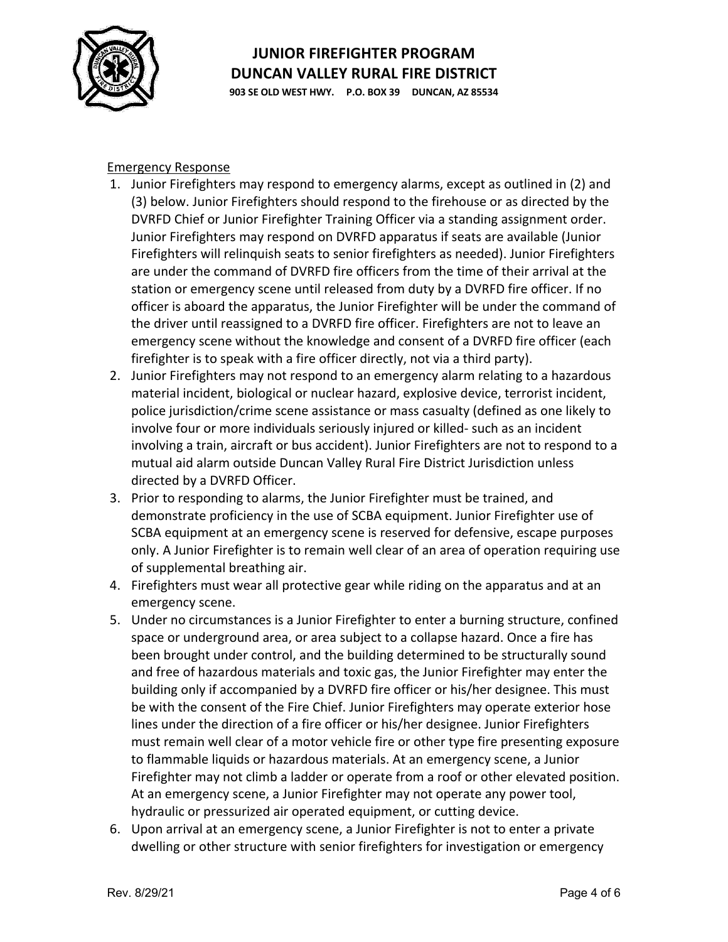

**903 SE OLD WEST HWY. P.O. BOX 39 DUNCAN, AZ 85534**

#### Emergency Response

- 1. Junior Firefighters may respond to emergency alarms, except as outlined in (2) and (3) below. Junior Firefighters should respond to the firehouse or as directed by the DVRFD Chief or Junior Firefighter Training Officer via a standing assignment order. Junior Firefighters may respond on DVRFD apparatus if seats are available (Junior Firefighters will relinquish seats to senior firefighters as needed). Junior Firefighters are under the command of DVRFD fire officers from the time of their arrival at the station or emergency scene until released from duty by a DVRFD fire officer. If no officer is aboard the apparatus, the Junior Firefighter will be under the command of the driver until reassigned to a DVRFD fire officer. Firefighters are not to leave an emergency scene without the knowledge and consent of a DVRFD fire officer (each firefighter is to speak with a fire officer directly, not via a third party).
- 2. Junior Firefighters may not respond to an emergency alarm relating to a hazardous material incident, biological or nuclear hazard, explosive device, terrorist incident, police jurisdiction/crime scene assistance or mass casualty (defined as one likely to involve four or more individuals seriously injured or killed- such as an incident involving a train, aircraft or bus accident). Junior Firefighters are not to respond to a mutual aid alarm outside Duncan Valley Rural Fire District Jurisdiction unless directed by a DVRFD Officer.
- 3. Prior to responding to alarms, the Junior Firefighter must be trained, and demonstrate proficiency in the use of SCBA equipment. Junior Firefighter use of SCBA equipment at an emergency scene is reserved for defensive, escape purposes only. A Junior Firefighter is to remain well clear of an area of operation requiring use of supplemental breathing air.
- 4. Firefighters must wear all protective gear while riding on the apparatus and at an emergency scene.
- 5. Under no circumstances is a Junior Firefighter to enter a burning structure, confined space or underground area, or area subject to a collapse hazard. Once a fire has been brought under control, and the building determined to be structurally sound and free of hazardous materials and toxic gas, the Junior Firefighter may enter the building only if accompanied by a DVRFD fire officer or his/her designee. This must be with the consent of the Fire Chief. Junior Firefighters may operate exterior hose lines under the direction of a fire officer or his/her designee. Junior Firefighters must remain well clear of a motor vehicle fire or other type fire presenting exposure to flammable liquids or hazardous materials. At an emergency scene, a Junior Firefighter may not climb a ladder or operate from a roof or other elevated position. At an emergency scene, a Junior Firefighter may not operate any power tool, hydraulic or pressurized air operated equipment, or cutting device.
- 6. Upon arrival at an emergency scene, a Junior Firefighter is not to enter a private dwelling or other structure with senior firefighters for investigation or emergency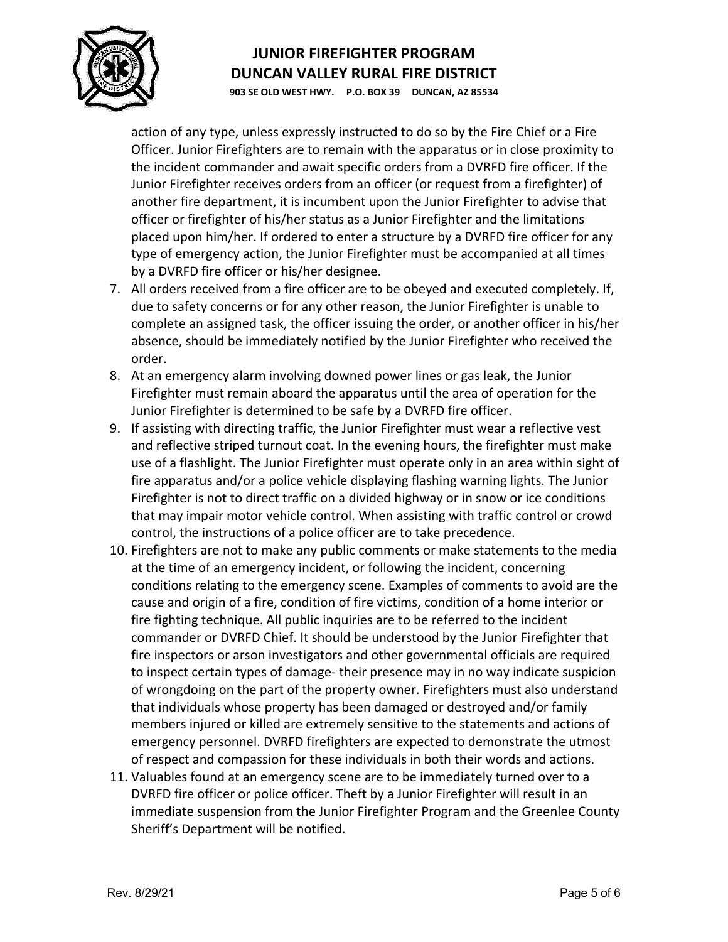

**903 SE OLD WEST HWY. P.O. BOX 39 DUNCAN, AZ 85534**

action of any type, unless expressly instructed to do so by the Fire Chief or a Fire Officer. Junior Firefighters are to remain with the apparatus or in close proximity to the incident commander and await specific orders from a DVRFD fire officer. If the Junior Firefighter receives orders from an officer (or request from a firefighter) of another fire department, it is incumbent upon the Junior Firefighter to advise that officer or firefighter of his/her status as a Junior Firefighter and the limitations placed upon him/her. If ordered to enter a structure by a DVRFD fire officer for any type of emergency action, the Junior Firefighter must be accompanied at all times by a DVRFD fire officer or his/her designee.

- 7. All orders received from a fire officer are to be obeyed and executed completely. If, due to safety concerns or for any other reason, the Junior Firefighter is unable to complete an assigned task, the officer issuing the order, or another officer in his/her absence, should be immediately notified by the Junior Firefighter who received the order.
- 8. At an emergency alarm involving downed power lines or gas leak, the Junior Firefighter must remain aboard the apparatus until the area of operation for the Junior Firefighter is determined to be safe by a DVRFD fire officer.
- 9. If assisting with directing traffic, the Junior Firefighter must wear a reflective vest and reflective striped turnout coat. In the evening hours, the firefighter must make use of a flashlight. The Junior Firefighter must operate only in an area within sight of fire apparatus and/or a police vehicle displaying flashing warning lights. The Junior Firefighter is not to direct traffic on a divided highway or in snow or ice conditions that may impair motor vehicle control. When assisting with traffic control or crowd control, the instructions of a police officer are to take precedence.
- 10. Firefighters are not to make any public comments or make statements to the media at the time of an emergency incident, or following the incident, concerning conditions relating to the emergency scene. Examples of comments to avoid are the cause and origin of a fire, condition of fire victims, condition of a home interior or fire fighting technique. All public inquiries are to be referred to the incident commander or DVRFD Chief. It should be understood by the Junior Firefighter that fire inspectors or arson investigators and other governmental officials are required to inspect certain types of damage- their presence may in no way indicate suspicion of wrongdoing on the part of the property owner. Firefighters must also understand that individuals whose property has been damaged or destroyed and/or family members injured or killed are extremely sensitive to the statements and actions of emergency personnel. DVRFD firefighters are expected to demonstrate the utmost of respect and compassion for these individuals in both their words and actions.
- 11. Valuables found at an emergency scene are to be immediately turned over to a DVRFD fire officer or police officer. Theft by a Junior Firefighter will result in an immediate suspension from the Junior Firefighter Program and the Greenlee County Sheriff's Department will be notified.